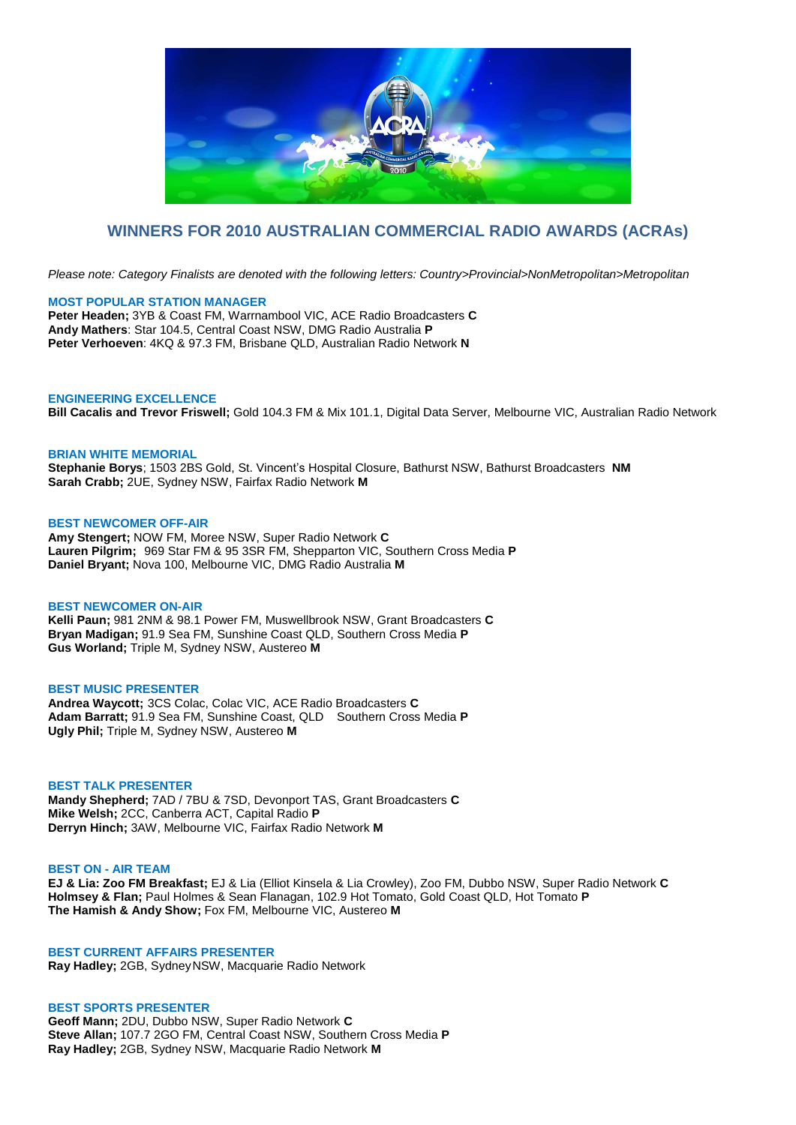

# **WINNERS FOR 2010 AUSTRALIAN COMMERCIAL RADIO AWARDS (ACRAs)**

*Please note: Category Finalists are denoted with the following letters: Country>Provincial>NonMetropolitan>Metropolitan*

# **MOST POPULAR STATION MANAGER**

**Peter Headen;** 3YB & Coast FM, Warrnambool VIC, ACE Radio Broadcasters **C Andy Mathers**: Star 104.5, Central Coast NSW, DMG Radio Australia **P Peter Verhoeven**: 4KQ & 97.3 FM, Brisbane QLD, Australian Radio Network **N**

# **ENGINEERING EXCELLENCE**

**Bill Cacalis and Trevor Friswell;** Gold 104.3 FM & Mix 101.1, Digital Data Server, Melbourne VIC, Australian Radio Network

#### **BRIAN WHITE MEMORIAL**

**Stephanie Borys**; 1503 2BS Gold, St. Vincent's Hospital Closure, Bathurst NSW, Bathurst Broadcasters **NM Sarah Crabb;** 2UE, Sydney NSW, Fairfax Radio Network **M**

# **BEST NEWCOMER OFF-AIR**

**Amy Stengert;** NOW FM, Moree NSW, Super Radio Network **C Lauren Pilgrim;** 969 Star FM & 95 3SR FM, Shepparton VIC, Southern Cross Media **P Daniel Bryant;** Nova 100, Melbourne VIC, DMG Radio Australia **M**

#### **BEST NEWCOMER ON-AIR**

**Kelli Paun;** 981 2NM & 98.1 Power FM, Muswellbrook NSW, Grant Broadcasters **C Bryan Madigan;** 91.9 Sea FM, Sunshine Coast QLD, Southern Cross Media **P Gus Worland;** Triple M, Sydney NSW, Austereo **M**

#### **BEST MUSIC PRESENTER**

**Andrea Waycott;** 3CS Colac, Colac VIC, ACE Radio Broadcasters **C Adam Barratt;** 91.9 Sea FM, Sunshine Coast, QLD Southern Cross Media **P Ugly Phil;** Triple M, Sydney NSW, Austereo **M**

# **BEST TALK PRESENTER**

**Mandy Shepherd;** 7AD / 7BU & 7SD, Devonport TAS, Grant Broadcasters **C Mike Welsh;** 2CC, Canberra ACT, Capital Radio **P Derryn Hinch;** 3AW, Melbourne VIC, Fairfax Radio Network **M**

# **BEST ON - AIR TEAM**

**EJ & Lia: Zoo FM Breakfast;** EJ & Lia (Elliot Kinsela & Lia Crowley), Zoo FM, Dubbo NSW, Super Radio Network **C Holmsey & Flan;** Paul Holmes & Sean Flanagan, 102.9 Hot Tomato, Gold Coast QLD, Hot Tomato **P The Hamish & Andy Show;** Fox FM, Melbourne VIC, Austereo **M**

# **BEST CURRENT AFFAIRS PRESENTER**

**Ray Hadley;** 2GB, SydneyNSW, Macquarie Radio Network

# **BEST SPORTS PRESENTER**

**Geoff Mann;** 2DU, Dubbo NSW, Super Radio Network **C Steve Allan;** 107.7 2GO FM, Central Coast NSW, Southern Cross Media **P Ray Hadley;** 2GB, Sydney NSW, Macquarie Radio Network **M**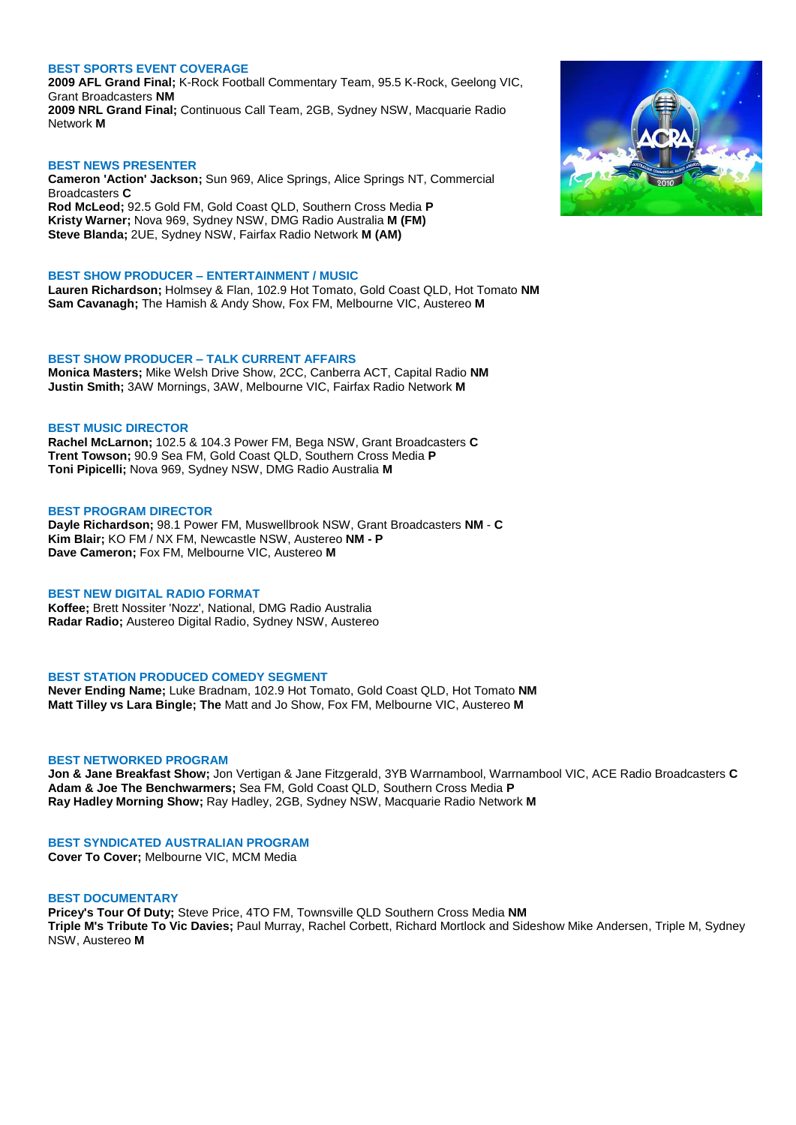# **BEST SPORTS EVENT COVERAGE**

**2009 AFL Grand Final;** K-Rock Football Commentary Team, 95.5 K-Rock, Geelong VIC, Grant Broadcasters **NM 2009 NRL Grand Final;** Continuous Call Team, 2GB, Sydney NSW, Macquarie Radio Network **M**

### **BEST NEWS PRESENTER**

**Cameron 'Action' Jackson;** Sun 969, Alice Springs, Alice Springs NT, Commercial Broadcasters **C Rod McLeod;** 92.5 Gold FM, Gold Coast QLD, Southern Cross Media **P Kristy Warner;** Nova 969, Sydney NSW, DMG Radio Australia **M (FM) Steve Blanda;** 2UE, Sydney NSW, Fairfax Radio Network **M (AM)**

### **BEST SHOW PRODUCER – ENTERTAINMENT / MUSIC**

**Lauren Richardson;** Holmsey & Flan, 102.9 Hot Tomato, Gold Coast QLD, Hot Tomato **NM Sam Cavanagh;** The Hamish & Andy Show, Fox FM, Melbourne VIC, Austereo **M**

#### **BEST SHOW PRODUCER – TALK CURRENT AFFAIRS**

**Monica Masters;** Mike Welsh Drive Show, 2CC, Canberra ACT, Capital Radio **NM Justin Smith;** 3AW Mornings, 3AW, Melbourne VIC, Fairfax Radio Network **M**

#### **BEST MUSIC DIRECTOR**

**Rachel McLarnon;** 102.5 & 104.3 Power FM, Bega NSW, Grant Broadcasters **C Trent Towson;** 90.9 Sea FM, Gold Coast QLD, Southern Cross Media **P Toni Pipicelli;** Nova 969, Sydney NSW, DMG Radio Australia **M**

#### **BEST PROGRAM DIRECTOR**

**Dayle Richardson;** 98.1 Power FM, Muswellbrook NSW, Grant Broadcasters **NM** - **C Kim Blair;** KO FM / NX FM, Newcastle NSW, Austereo **NM - P Dave Cameron;** Fox FM, Melbourne VIC, Austereo **M**

# **BEST NEW DIGITAL RADIO FORMAT**

**Koffee;** Brett Nossiter 'Nozz', National, DMG Radio Australia **Radar Radio;** Austereo Digital Radio, Sydney NSW, Austereo

#### **BEST STATION PRODUCED COMEDY SEGMENT**

**Never Ending Name;** Luke Bradnam, 102.9 Hot Tomato, Gold Coast QLD, Hot Tomato **NM Matt Tilley vs Lara Bingle; The** Matt and Jo Show, Fox FM, Melbourne VIC, Austereo **M**

#### **BEST NETWORKED PROGRAM**

**Jon & Jane Breakfast Show;** Jon Vertigan & Jane Fitzgerald, 3YB Warrnambool, Warrnambool VIC, ACE Radio Broadcasters **C Adam & Joe The Benchwarmers;** Sea FM, Gold Coast QLD, Southern Cross Media **P Ray Hadley Morning Show;** Ray Hadley, 2GB, Sydney NSW, Macquarie Radio Network **M**

#### **BEST SYNDICATED AUSTRALIAN PROGRAM**

**Cover To Cover;** Melbourne VIC, MCM Media

# **BEST DOCUMENTARY**

**Pricey's Tour Of Duty;** Steve Price, 4TO FM, Townsville QLD Southern Cross Media **NM Triple M's Tribute To Vic Davies;** Paul Murray, Rachel Corbett, Richard Mortlock and Sideshow Mike Andersen, Triple M, Sydney NSW, Austereo **M**